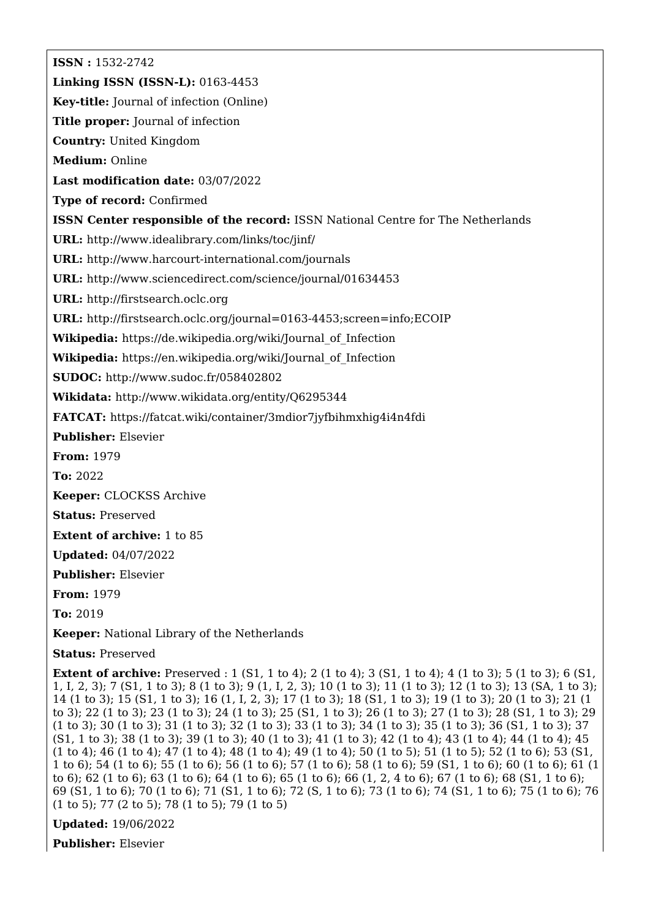**ISSN :** 1532-2742 **Linking ISSN (ISSN-L):** 0163-4453 **Key-title:** Journal of infection (Online) **Title proper:** Journal of infection **Country:** United Kingdom **Medium:** Online **Last modification date:** 03/07/2022 **Type of record:** Confirmed **ISSN Center responsible of the record:** ISSN National Centre for The Netherlands **URL:** <http://www.idealibrary.com/links/toc/jinf/> **URL:** <http://www.harcourt-international.com/journals> **URL:** <http://www.sciencedirect.com/science/journal/01634453> **URL:** <http://firstsearch.oclc.org> **URL:** <http://firstsearch.oclc.org/journal=0163-4453;screen=info;ECOIP> **Wikipedia:** [https://de.wikipedia.org/wiki/Journal\\_of\\_Infection](https://de.wikipedia.org/wiki/Journal_of_Infection) **Wikipedia:** [https://en.wikipedia.org/wiki/Journal\\_of\\_Infection](https://en.wikipedia.org/wiki/Journal_of_Infection) **SUDOC:** <http://www.sudoc.fr/058402802> **Wikidata:** <http://www.wikidata.org/entity/Q6295344> **FATCAT:** <https://fatcat.wiki/container/3mdior7jyfbihmxhig4i4n4fdi> **Publisher:** Elsevier **From:** 1979 **To:** 2022 **Keeper:** CLOCKSS Archive **Status:** Preserved **Extent of archive:** 1 to 85 **Updated:** 04/07/2022 **Publisher:** Elsevier **From:** 1979 **To:** 2019 **Keeper:** National Library of the Netherlands **Status:** Preserved **Extent of archive:** Preserved : 1 (S1, 1 to 4); 2 (1 to 4); 3 (S1, 1 to 4); 4 (1 to 3); 5 (1 to 3); 6 (S1, 1, I, 2, 3); 7 (S1, 1 to 3); 8 (1 to 3); 9 (1, I, 2, 3); 10 (1 to 3); 11 (1 to 3); 12 (1 to 3); 13 (SA, 1 to 3); 14 (1 to 3); 15 (S1, 1 to 3); 16 (1, I, 2, 3); 17 (1 to 3); 18 (S1, 1 to 3); 19 (1 to 3); 20 (1 to 3); 21 (1 to 3); 22 (1 to 3); 23 (1 to 3); 24 (1 to 3); 25 (S1, 1 to 3); 26 (1 to 3); 27 (1 to 3); 28 (S1, 1 to 3); 29 (1 to 3); 30 (1 to 3); 31 (1 to 3); 32 (1 to 3); 33 (1 to 3); 34 (1 to 3); 35 (1 to 3); 36 (S1, 1 to 3); 37 (S1, 1 to 3); 38 (1 to 3); 39 (1 to 3); 40 (1 to 3); 41 (1 to 3); 42 (1 to 4); 43 (1 to 4); 44 (1 to 4); 45 (1 to 4); 46 (1 to 4); 47 (1 to 4); 48 (1 to 4); 49 (1 to 4); 50 (1 to 5); 51 (1 to 5); 52 (1 to 6); 53 (S1, 1 to 6); 54 (1 to 6); 55 (1 to 6); 56 (1 to 6); 57 (1 to 6); 58 (1 to 6); 59 (S1, 1 to 6); 60 (1 to 6); 61 (1

to 6); 62 (1 to 6); 63 (1 to 6); 64 (1 to 6); 65 (1 to 6); 66 (1, 2, 4 to 6); 67 (1 to 6); 68 (S1, 1 to 6); 69 (S1, 1 to 6); 70 (1 to 6); 71 (S1, 1 to 6); 72 (S, 1 to 6); 73 (1 to 6); 74 (S1, 1 to 6); 75 (1 to 6); 76 (1 to 5); 77 (2 to 5); 78 (1 to 5); 79 (1 to 5)

**Updated:** 19/06/2022

**Publisher:** Elsevier